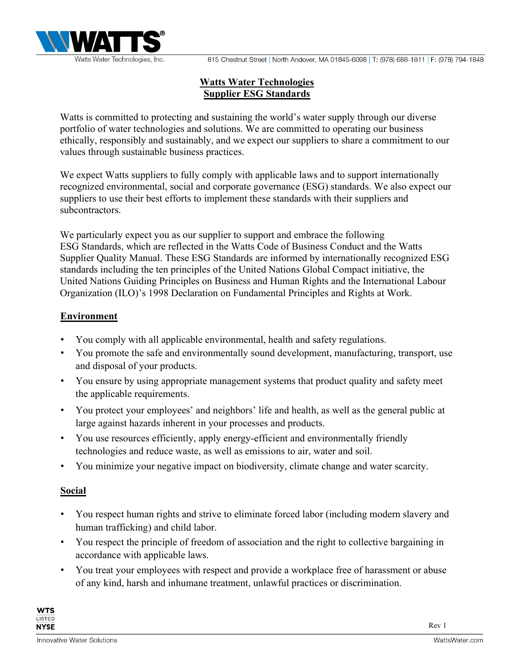

## Watts Water Technologies Supplier ESG Standards

Watts is committed to protecting and sustaining the world's water supply through our diverse portfolio of water technologies and solutions. We are committed to operating our business ethically, responsibly and sustainably, and we expect our suppliers to share a commitment to our values through sustainable business practices.

We expect Watts suppliers to fully comply with applicable laws and to support internationally recognized environmental, social and corporate governance (ESG) standards. We also expect our suppliers to use their best efforts to implement these standards with their suppliers and subcontractors.

We particularly expect you as our supplier to support and embrace the following ESG Standards, which are reflected in the Watts Code of Business Conduct and the Watts Supplier Quality Manual. These ESG Standards are informed by internationally recognized ESG standards including the ten principles of the United Nations Global Compact initiative, the United Nations Guiding Principles on Business and Human Rights and the International Labour Organization (ILO)'s 1998 Declaration on Fundamental Principles and Rights at Work.

## Environment

- You comply with all applicable environmental, health and safety regulations.
- You promote the safe and environmentally sound development, manufacturing, transport, use and disposal of your products.
- You ensure by using appropriate management systems that product quality and safety meet the applicable requirements.
- You protect your employees' and neighbors' life and health, as well as the general public at large against hazards inherent in your processes and products.
- You use resources efficiently, apply energy-efficient and environmentally friendly technologies and reduce waste, as well as emissions to air, water and soil.
- You minimize your negative impact on biodiversity, climate change and water scarcity.

## Social

- You respect human rights and strive to eliminate forced labor (including modern slavery and human trafficking) and child labor.
- You respect the principle of freedom of association and the right to collective bargaining in accordance with applicable laws.
- You treat your employees with respect and provide a workplace free of harassment or abuse of any kind, harsh and inhumane treatment, unlawful practices or discrimination.